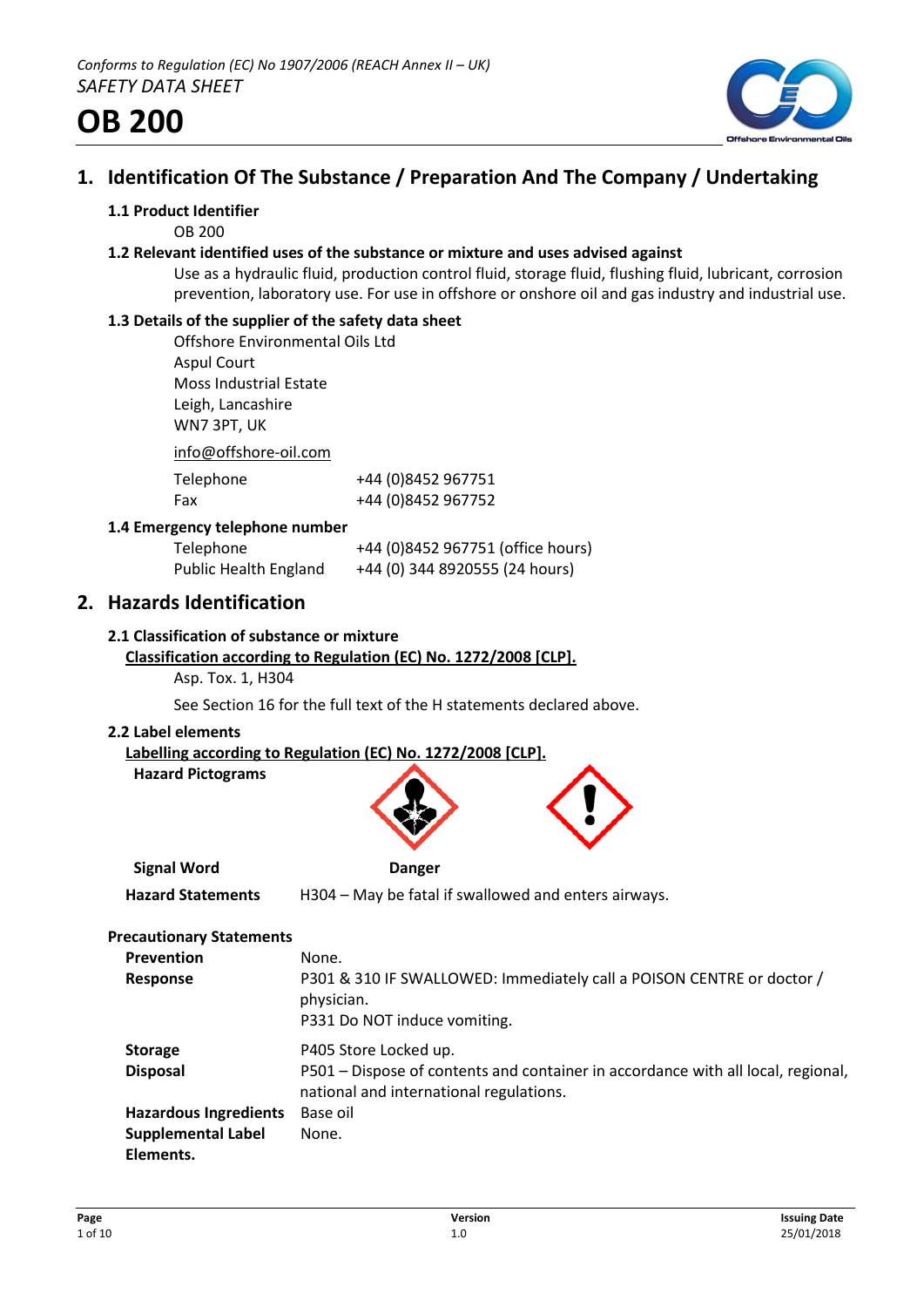

# **1. Identification Of The Substance / Preparation And The Company / Undertaking**

### **1.1 Product Identifier**

OB 200

#### **1.2 Relevant identified uses of the substance or mixture and uses advised against**

Use as a hydraulic fluid, production control fluid, storage fluid, flushing fluid, lubricant, corrosion prevention, laboratory use. For use in offshore or onshore oil and gas industry and industrial use.

# **1.3 Details of the supplier of the safety data sheet**

Offshore Environmental Oils Ltd Aspul Court Moss Industrial Estate Leigh, Lancashire WN7 3PT, UK

info@offshore-oil.com

| Telephone | +44 (0)8452 967751 |
|-----------|--------------------|
| Fax       | +44 (0)8452 967752 |

#### **1.4 Emergency telephone number**

| Telephone                    | +44 (0)8452 967751 (office hours) |
|------------------------------|-----------------------------------|
| <b>Public Health England</b> | +44 (0) 344 8920555 (24 hours)    |

# **2. Hazards Identification**

#### **2.1 Classification of substance or mixture**

# **Classification according to Regulation (EC) No. 1272/2008 [CLP].**

Asp. Tox. 1, H304

See Section 16 for the full text of the H statements declared above.

#### **2.2 Label elements**

**Labelling according to Regulation (EC) No. 1272/2008 [CLP].**

|  | <b>Hazard Pictograms</b> |
|--|--------------------------|
|--|--------------------------|



**Signal Word Danger**

**Hazard Statements** H304 – May be fatal if swallowed and enters airways.

#### **Precautionary Statements**

| <b>Prevention</b><br>Response                             | None.<br>P301 & 310 IF SWALLOWED: Immediately call a POISON CENTRE or doctor /<br>physician.<br>P331 Do NOT induce vomiting.                         |
|-----------------------------------------------------------|------------------------------------------------------------------------------------------------------------------------------------------------------|
| <b>Storage</b><br><b>Disposal</b>                         | P405 Store Locked up.<br>P501 – Dispose of contents and container in accordance with all local, regional,<br>national and international regulations. |
| <b>Hazardous Ingredients</b><br><b>Supplemental Label</b> | Base oil<br>None.                                                                                                                                    |
| Elements.                                                 |                                                                                                                                                      |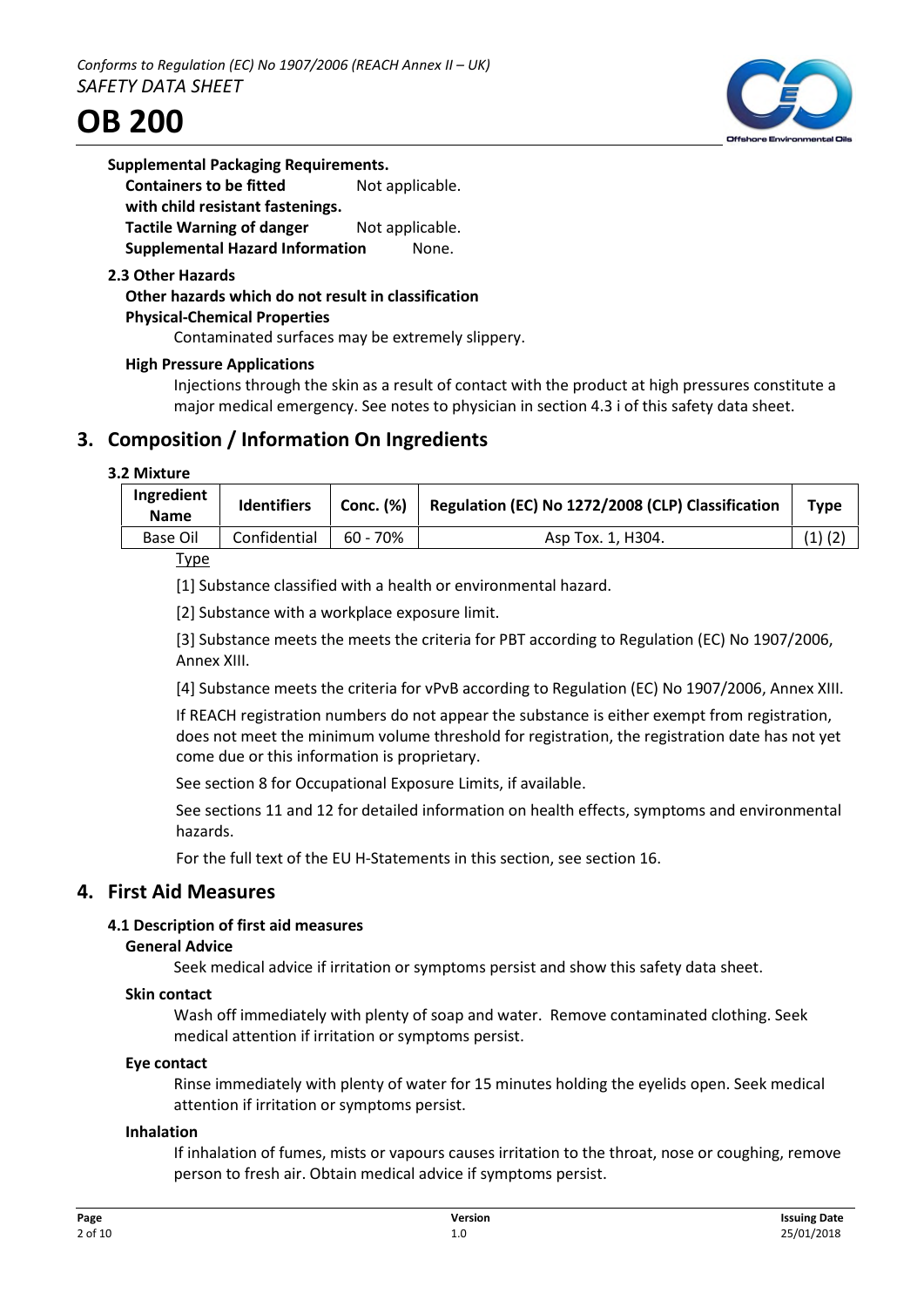



# **Supplemental Packaging Requirements. Containers to be fitted** Not applicable. **with child resistant fastenings.**

**Tactile Warning of danger** Not applicable. **Supplemental Hazard Information Mone.** 

# **2.3 Other Hazards**

# **Other hazards which do not result in classification**

**Physical-Chemical Properties**

Contaminated surfaces may be extremely slippery.

#### **High Pressure Applications**

Injections through the skin as a result of contact with the product at high pressures constitute a major medical emergency. See notes to physician in section 4.3 i of this safety data sheet.

# **3. Composition / Information On Ingredients**

#### **3.2 Mixture**

| Ingredient<br><b>Name</b> | <b>Identifiers</b> | Conc. (%)  | Regulation (EC) No 1272/2008 (CLP) Classification | <b>Type</b> |
|---------------------------|--------------------|------------|---------------------------------------------------|-------------|
| <b>Base Oil</b>           | Confidential       | $60 - 70%$ | Asp Tox. 1, H304.                                 | $(1)$ $(2)$ |
|                           |                    |            |                                                   |             |

#### Type

[1] Substance classified with a health or environmental hazard.

[2] Substance with a workplace exposure limit.

[3] Substance meets the meets the criteria for PBT according to Regulation (EC) No 1907/2006, Annex XIII.

[4] Substance meets the criteria for vPvB according to Regulation (EC) No 1907/2006, Annex XIII.

If REACH registration numbers do not appear the substance is either exempt from registration, does not meet the minimum volume threshold for registration, the registration date has not yet come due or this information is proprietary.

See section 8 for Occupational Exposure Limits, if available.

See sections 11 and 12 for detailed information on health effects, symptoms and environmental hazards.

For the full text of the EU H-Statements in this section, see section 16.

# **4. First Aid Measures**

# **4.1 Description of first aid measures**

#### **General Advice**

Seek medical advice if irritation or symptoms persist and show this safety data sheet.

#### **Skin contact**

Wash off immediately with plenty of soap and water. Remove contaminated clothing. Seek medical attention if irritation or symptoms persist.

#### **Eye contact**

Rinse immediately with plenty of water for 15 minutes holding the eyelids open. Seek medical attention if irritation or symptoms persist.

#### **Inhalation**

If inhalation of fumes, mists or vapours causes irritation to the throat, nose or coughing, remove person to fresh air. Obtain medical advice if symptoms persist.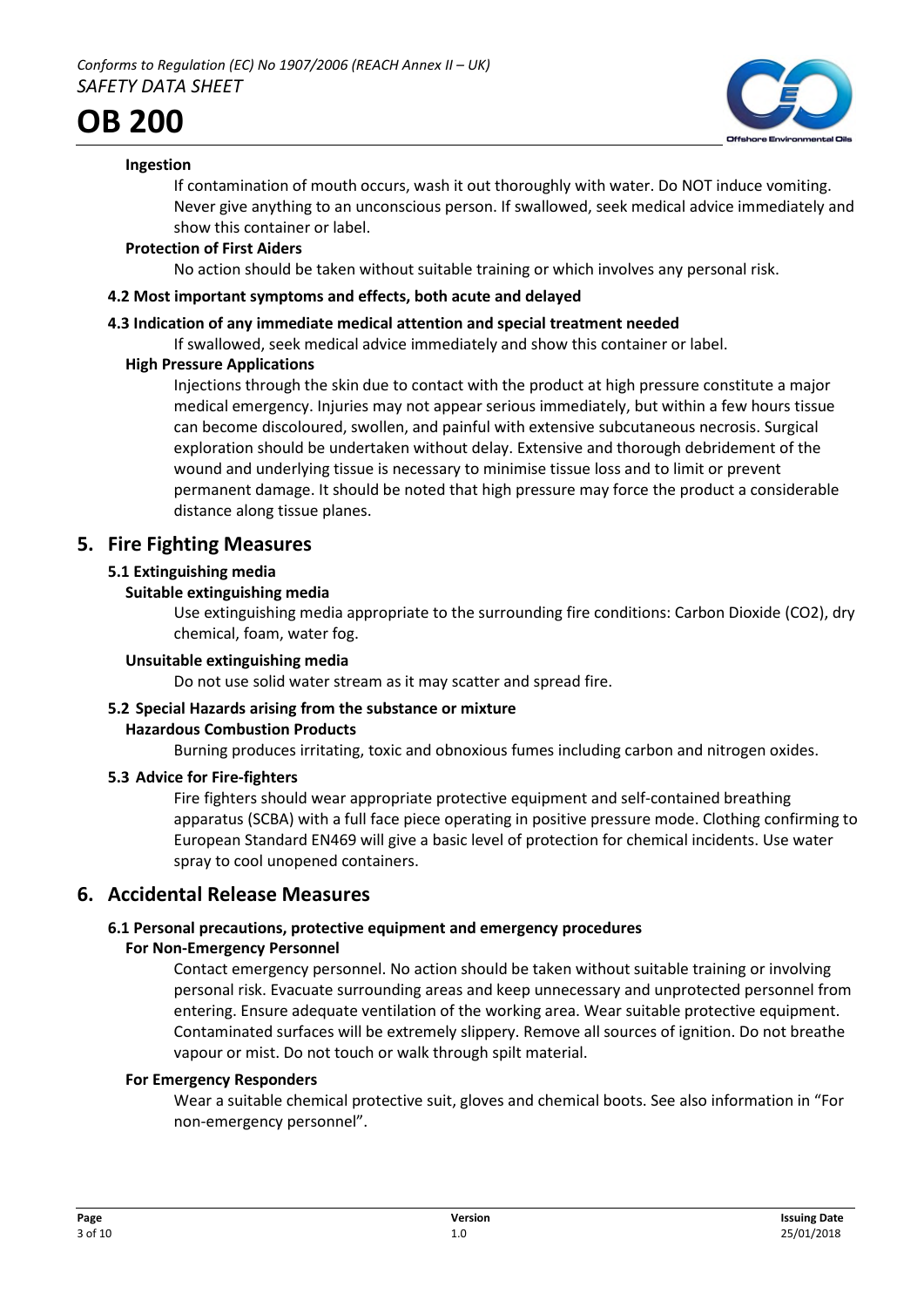

# **Ingestion**

If contamination of mouth occurs, wash it out thoroughly with water. Do NOT induce vomiting. Never give anything to an unconscious person. If swallowed, seek medical advice immediately and show this container or label.

# **Protection of First Aiders**

No action should be taken without suitable training or which involves any personal risk.

# **4.2 Most important symptoms and effects, both acute and delayed**

# **4.3 Indication of any immediate medical attention and special treatment needed**

If swallowed, seek medical advice immediately and show this container or label.

# **High Pressure Applications**

Injections through the skin due to contact with the product at high pressure constitute a major medical emergency. Injuries may not appear serious immediately, but within a few hours tissue can become discoloured, swollen, and painful with extensive subcutaneous necrosis. Surgical exploration should be undertaken without delay. Extensive and thorough debridement of the wound and underlying tissue is necessary to minimise tissue loss and to limit or prevent permanent damage. It should be noted that high pressure may force the product a considerable distance along tissue planes.

# **5. Fire Fighting Measures**

# **5.1 Extinguishing media**

# **Suitable extinguishing media**

Use extinguishing media appropriate to the surrounding fire conditions: Carbon Dioxide (CO2), dry chemical, foam, water fog.

# **Unsuitable extinguishing media**

Do not use solid water stream as it may scatter and spread fire.

# **5.2 Special Hazards arising from the substance or mixture**

# **Hazardous Combustion Products**

Burning produces irritating, toxic and obnoxious fumes including carbon and nitrogen oxides.

# **5.3 Advice for Fire-fighters**

Fire fighters should wear appropriate protective equipment and self-contained breathing apparatus (SCBA) with a full face piece operating in positive pressure mode. Clothing confirming to European Standard EN469 will give a basic level of protection for chemical incidents. Use water spray to cool unopened containers.

# **6. Accidental Release Measures**

# **6.1 Personal precautions, protective equipment and emergency procedures**

# **For Non-Emergency Personnel**

Contact emergency personnel. No action should be taken without suitable training or involving personal risk. Evacuate surrounding areas and keep unnecessary and unprotected personnel from entering. Ensure adequate ventilation of the working area. Wear suitable protective equipment. Contaminated surfaces will be extremely slippery. Remove all sources of ignition. Do not breathe vapour or mist. Do not touch or walk through spilt material.

# **For Emergency Responders**

Wear a suitable chemical protective suit, gloves and chemical boots. See also information in "For non-emergency personnel".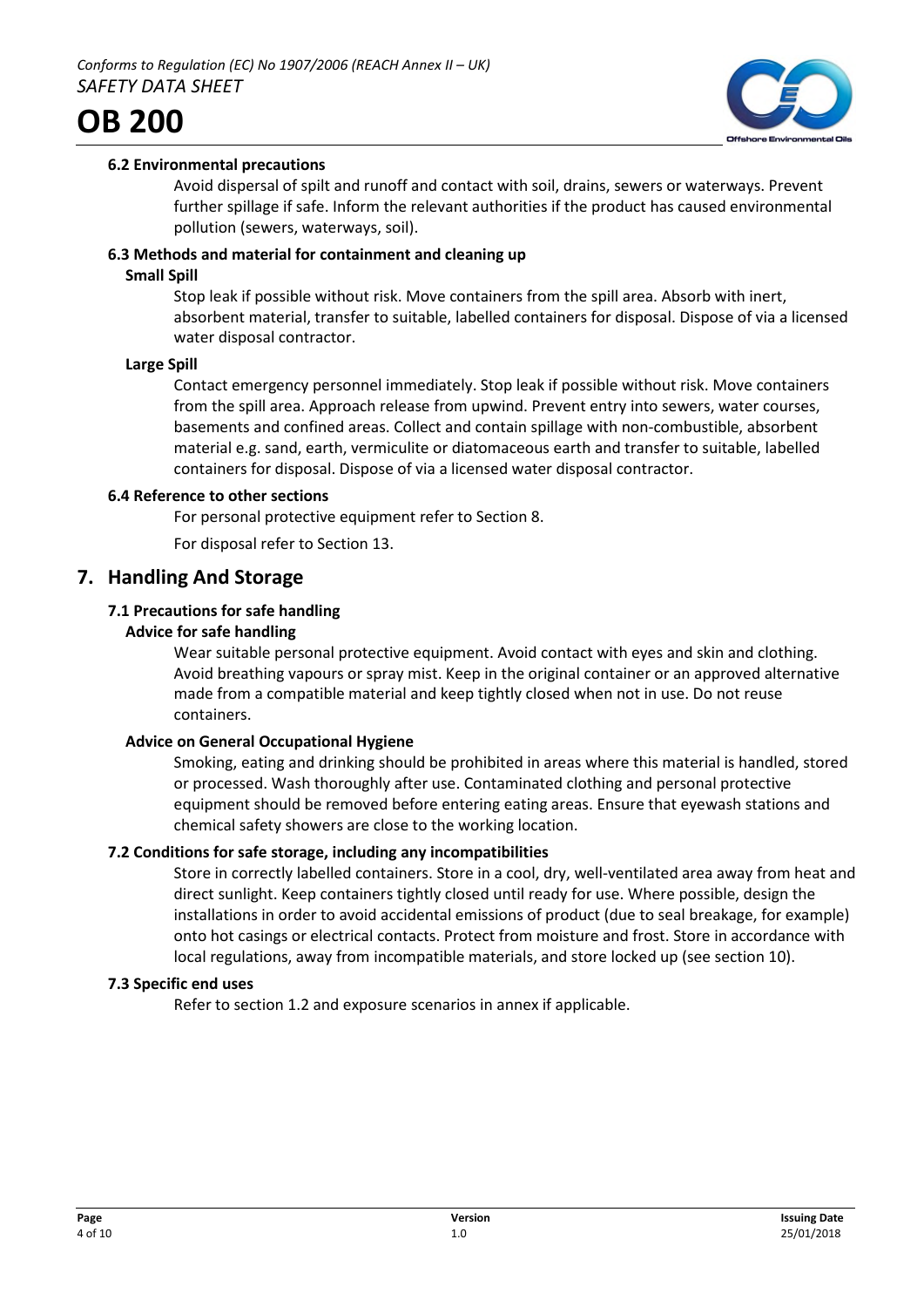

# **6.2 Environmental precautions**

Avoid dispersal of spilt and runoff and contact with soil, drains, sewers or waterways. Prevent further spillage if safe. Inform the relevant authorities if the product has caused environmental pollution (sewers, waterways, soil).

### **6.3 Methods and material for containment and cleaning up**

#### **Small Spill**

Stop leak if possible without risk. Move containers from the spill area. Absorb with inert, absorbent material, transfer to suitable, labelled containers for disposal. Dispose of via a licensed water disposal contractor.

#### **Large Spill**

Contact emergency personnel immediately. Stop leak if possible without risk. Move containers from the spill area. Approach release from upwind. Prevent entry into sewers, water courses, basements and confined areas. Collect and contain spillage with non-combustible, absorbent material e.g. sand, earth, vermiculite or diatomaceous earth and transfer to suitable, labelled containers for disposal. Dispose of via a licensed water disposal contractor.

#### **6.4 Reference to other sections**

For personal protective equipment refer to Section 8.

For disposal refer to Section 13.

# **7. Handling And Storage**

# **7.1 Precautions for safe handling**

# **Advice for safe handling**

Wear suitable personal protective equipment. Avoid contact with eyes and skin and clothing. Avoid breathing vapours or spray mist. Keep in the original container or an approved alternative made from a compatible material and keep tightly closed when not in use. Do not reuse containers.

# **Advice on General Occupational Hygiene**

Smoking, eating and drinking should be prohibited in areas where this material is handled, stored or processed. Wash thoroughly after use. Contaminated clothing and personal protective equipment should be removed before entering eating areas. Ensure that eyewash stations and chemical safety showers are close to the working location.

# **7.2 Conditions for safe storage, including any incompatibilities**

Store in correctly labelled containers. Store in a cool, dry, well-ventilated area away from heat and direct sunlight. Keep containers tightly closed until ready for use. Where possible, design the installations in order to avoid accidental emissions of product (due to seal breakage, for example) onto hot casings or electrical contacts. Protect from moisture and frost. Store in accordance with local regulations, away from incompatible materials, and store locked up (see section 10).

#### **7.3 Specific end uses**

Refer to section 1.2 and exposure scenarios in annex if applicable.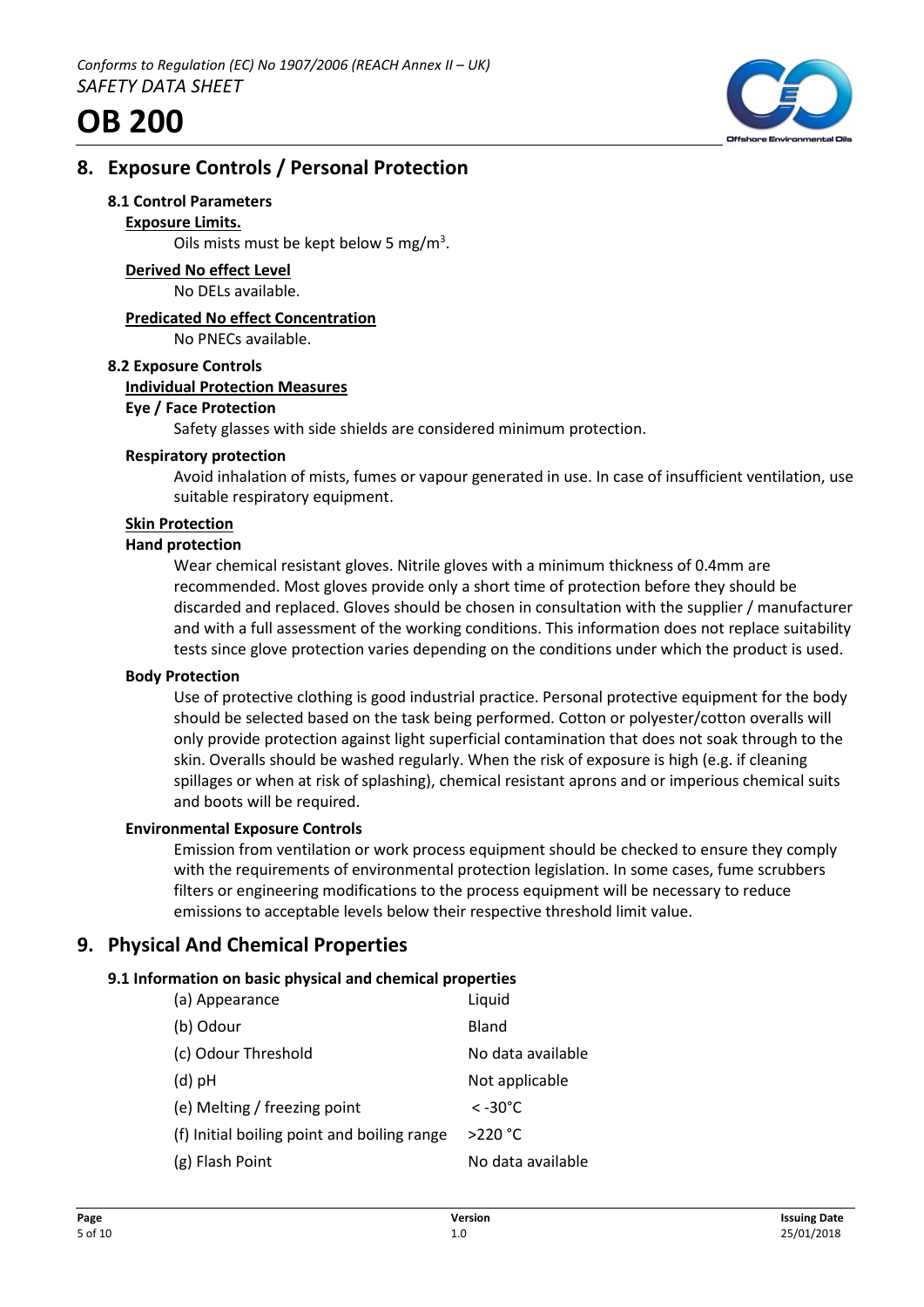

# **8. Exposure Controls / Personal Protection**

#### **8.1 Control Parameters**

#### **Exposure Limits.**

Oils mists must be kept below 5 mg/ $m<sup>3</sup>$ .

**Derived No effect Level** No DELs available.

# **Predicated No effect Concentration**

No PNECs available.

#### **8.2 Exposure Controls**

#### **Individual Protection Measures**

#### **Eye / Face Protection**

Safety glasses with side shields are considered minimum protection.

#### **Respiratory protection**

Avoid inhalation of mists, fumes or vapour generated in use. In case of insufficient ventilation, use suitable respiratory equipment.

#### **Skin Protection**

#### **Hand protection**

Wear chemical resistant gloves. Nitrile gloves with a minimum thickness of 0.4mm are recommended. Most gloves provide only a short time of protection before they should be discarded and replaced. Gloves should be chosen in consultation with the supplier / manufacturer and with a full assessment of the working conditions. This information does not replace suitability tests since glove protection varies depending on the conditions under which the product is used.

#### **Body Protection**

Use of protective clothing is good industrial practice. Personal protective equipment for the body should be selected based on the task being performed. Cotton or polyester/cotton overalls will only provide protection against light superficial contamination that does not soak through to the skin. Overalls should be washed regularly. When the risk of exposure is high (e.g. if cleaning spillages or when at risk of splashing), chemical resistant aprons and or imperious chemical suits and boots will be required.

#### **Environmental Exposure Controls**

Emission from ventilation or work process equipment should be checked to ensure they comply with the requirements of environmental protection legislation. In some cases, fume scrubbers filters or engineering modifications to the process equipment will be necessary to reduce emissions to acceptable levels below their respective threshold limit value.

# **9. Physical And Chemical Properties**

# **9.1 Information on basic physical and chemical properties**

| (a) Appearance                              | Liquid            |
|---------------------------------------------|-------------------|
| (b) Odour                                   | Bland             |
| (c) Odour Threshold                         | No data available |
| $(d)$ pH                                    | Not applicable    |
| (e) Melting / freezing point                | $<$ -30°C.        |
| (f) Initial boiling point and boiling range | $>220$ °C         |
| (g) Flash Point                             | No data available |
|                                             |                   |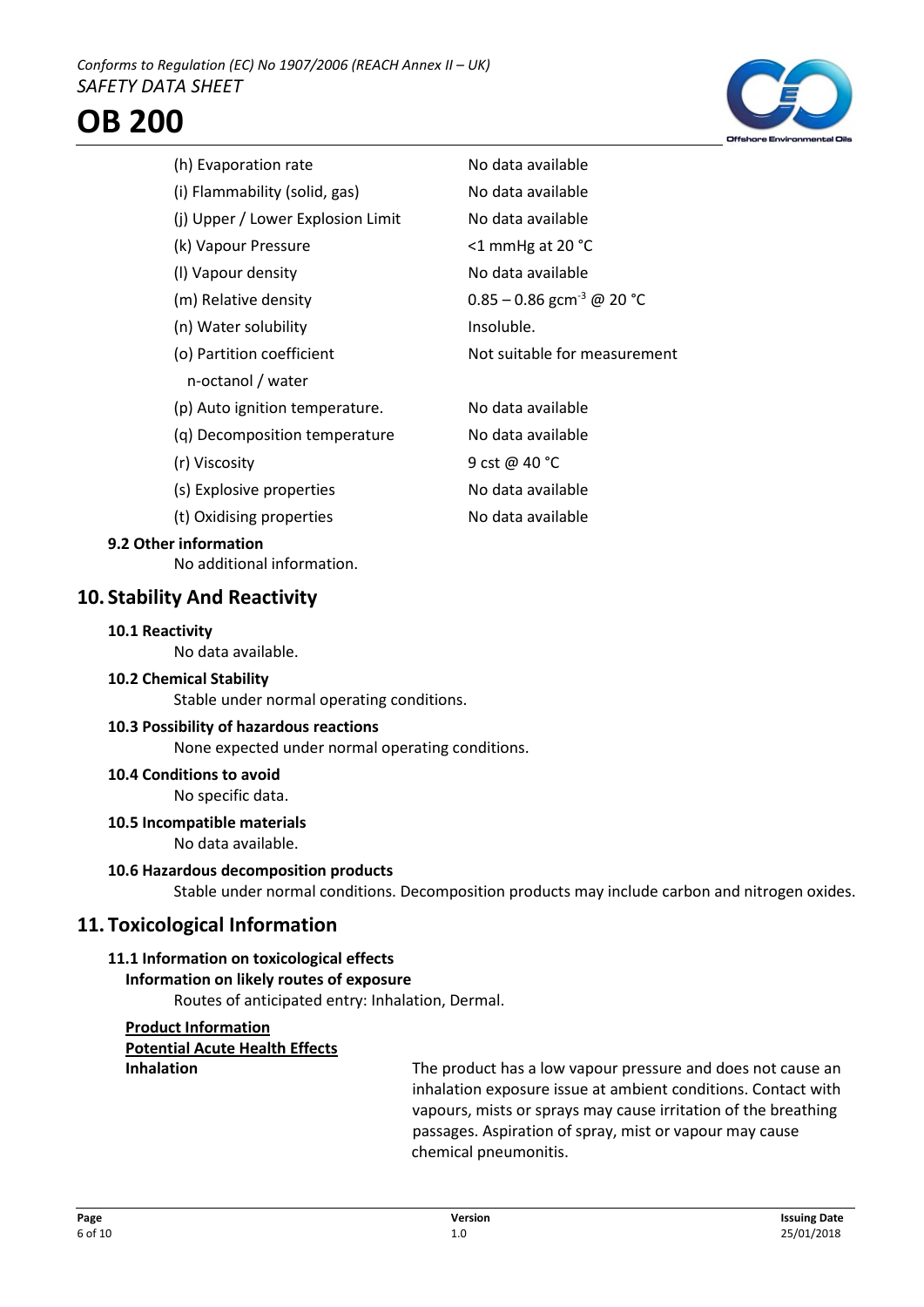



| (h) Evaporation rate              | No data available                       |
|-----------------------------------|-----------------------------------------|
| (i) Flammability (solid, gas)     | No data available                       |
| (j) Upper / Lower Explosion Limit | No data available                       |
| (k) Vapour Pressure               | <1 mmHg at 20 °C                        |
| (I) Vapour density                | No data available                       |
| (m) Relative density              | $0.85 - 0.86$ gcm <sup>-3</sup> @ 20 °C |
| (n) Water solubility              | Insoluble.                              |
| (o) Partition coefficient         | Not suitable for measurement            |
| n-octanol / water                 |                                         |
| (p) Auto ignition temperature.    | No data available                       |
| (g) Decomposition temperature     | No data available                       |
| (r) Viscosity                     | 9 cst @ 40 °C                           |
| (s) Explosive properties          | No data available                       |
| (t) Oxidising properties          | No data available                       |

# **9.2 Other information**

No additional information.

# **10. Stability And Reactivity**

#### **10.1 Reactivity**

No data available.

#### **10.2 Chemical Stability**

Stable under normal operating conditions.

#### **10.3 Possibility of hazardous reactions**

None expected under normal operating conditions.

# **10.4 Conditions to avoid**

No specific data.

# **10.5 Incompatible materials**

No data available.

#### **10.6 Hazardous decomposition products**

Stable under normal conditions. Decomposition products may include carbon and nitrogen oxides.

# **11. Toxicological Information**

# **11.1 Information on toxicological effects**

# **Information on likely routes of exposure**

Routes of anticipated entry: Inhalation, Dermal.

# **Product Information Potential Acute Health Effects**

**Inhalation** The product has a low vapour pressure and does not cause an Inhalation inhalation exposure issue at ambient conditions. Contact with vapours, mists or sprays may cause irritation of the breathing passages. Aspiration of spray, mist or vapour may cause chemical pneumonitis.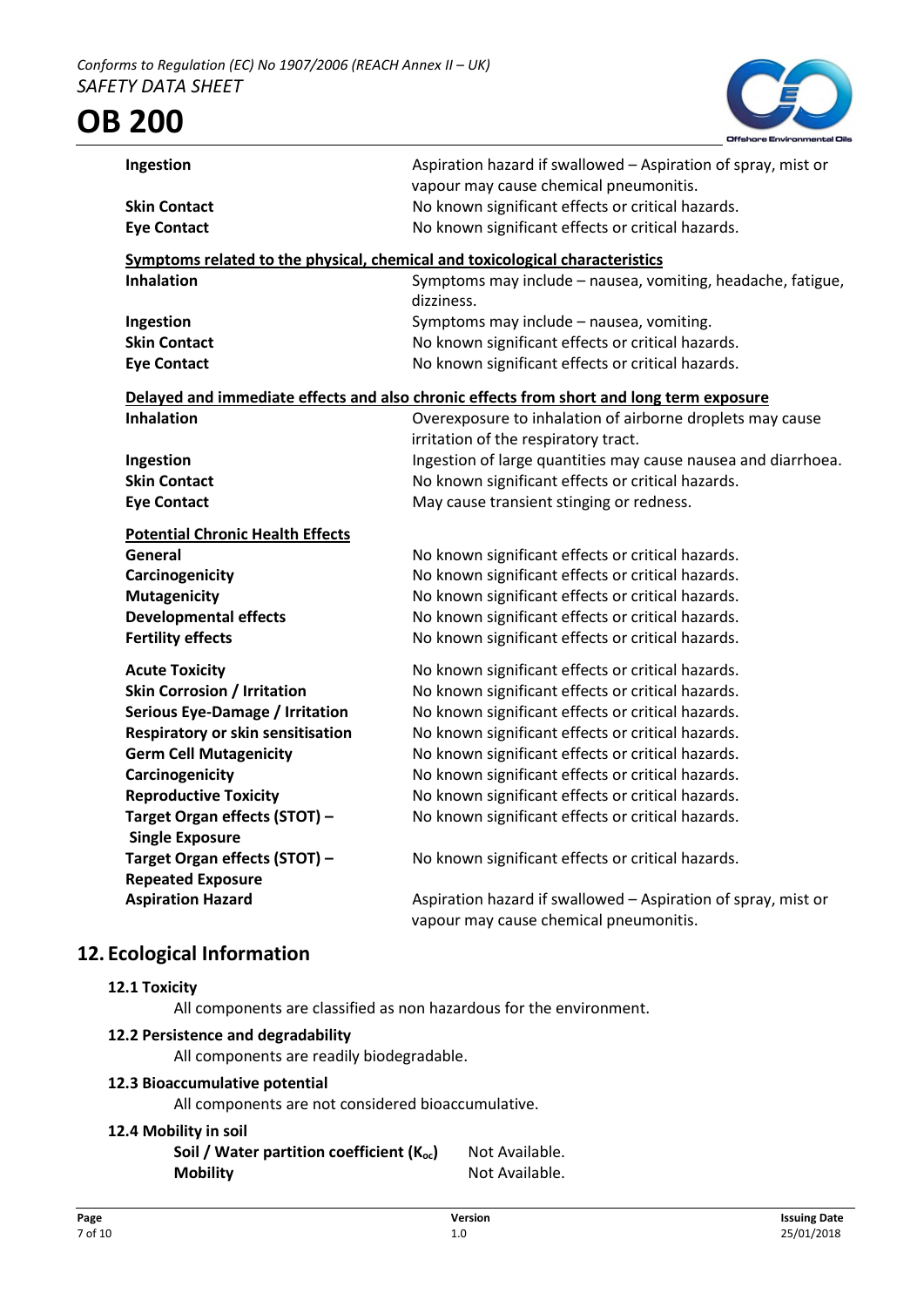

| Ingestion                                                                    | Aspiration hazard if swallowed - Aspiration of spray, mist or<br>vapour may cause chemical pneumonitis. |
|------------------------------------------------------------------------------|---------------------------------------------------------------------------------------------------------|
| <b>Skin Contact</b>                                                          | No known significant effects or critical hazards.                                                       |
| <b>Eye Contact</b>                                                           | No known significant effects or critical hazards.                                                       |
|                                                                              |                                                                                                         |
| Symptoms related to the physical, chemical and toxicological characteristics |                                                                                                         |
| <b>Inhalation</b>                                                            | Symptoms may include - nausea, vomiting, headache, fatigue,<br>dizziness.                               |
| Ingestion                                                                    | Symptoms may include - nausea, vomiting.                                                                |
| <b>Skin Contact</b>                                                          | No known significant effects or critical hazards.                                                       |
| <b>Eye Contact</b>                                                           | No known significant effects or critical hazards.                                                       |
|                                                                              |                                                                                                         |
|                                                                              | Delayed and immediate effects and also chronic effects from short and long term exposure                |
| <b>Inhalation</b>                                                            | Overexposure to inhalation of airborne droplets may cause                                               |
|                                                                              | irritation of the respiratory tract.                                                                    |
| Ingestion                                                                    | Ingestion of large quantities may cause nausea and diarrhoea.                                           |
| <b>Skin Contact</b>                                                          | No known significant effects or critical hazards.                                                       |
| <b>Eye Contact</b>                                                           | May cause transient stinging or redness.                                                                |
| <b>Potential Chronic Health Effects</b>                                      |                                                                                                         |
| General                                                                      | No known significant effects or critical hazards.                                                       |
| Carcinogenicity                                                              | No known significant effects or critical hazards.                                                       |
| <b>Mutagenicity</b>                                                          | No known significant effects or critical hazards.                                                       |
| <b>Developmental effects</b>                                                 | No known significant effects or critical hazards.                                                       |
| <b>Fertility effects</b>                                                     | No known significant effects or critical hazards.                                                       |
|                                                                              |                                                                                                         |
| <b>Acute Toxicity</b>                                                        | No known significant effects or critical hazards.                                                       |
| <b>Skin Corrosion / Irritation</b>                                           | No known significant effects or critical hazards.                                                       |
| <b>Serious Eye-Damage / Irritation</b>                                       | No known significant effects or critical hazards.                                                       |
| Respiratory or skin sensitisation                                            | No known significant effects or critical hazards.                                                       |
| <b>Germ Cell Mutagenicity</b>                                                | No known significant effects or critical hazards.                                                       |
| Carcinogenicity                                                              | No known significant effects or critical hazards.                                                       |
| <b>Reproductive Toxicity</b>                                                 | No known significant effects or critical hazards.                                                       |
| Target Organ effects (STOT) -                                                | No known significant effects or critical hazards.                                                       |
| <b>Single Exposure</b>                                                       |                                                                                                         |
| Target Organ effects (STOT) -                                                | No known significant effects or critical hazards.                                                       |
| <b>Repeated Exposure</b>                                                     |                                                                                                         |
| <b>Aspiration Hazard</b>                                                     | Aspiration hazard if swallowed - Aspiration of spray, mist or                                           |
|                                                                              | vapour may cause chemical pneumonitis.                                                                  |

# **12. Ecological Information**

# **12.1 Toxicity**

All components are classified as non hazardous for the environment.

# **12.2 Persistence and degradability**

All components are readily biodegradable.

# **12.3 Bioaccumulative potential**

All components are not considered bioaccumulative.

# **12.4 Mobility in soil**

**Soil / Water partition coefficient (K<sub>oc</sub>)** Not Available. **Mobility** Not Available.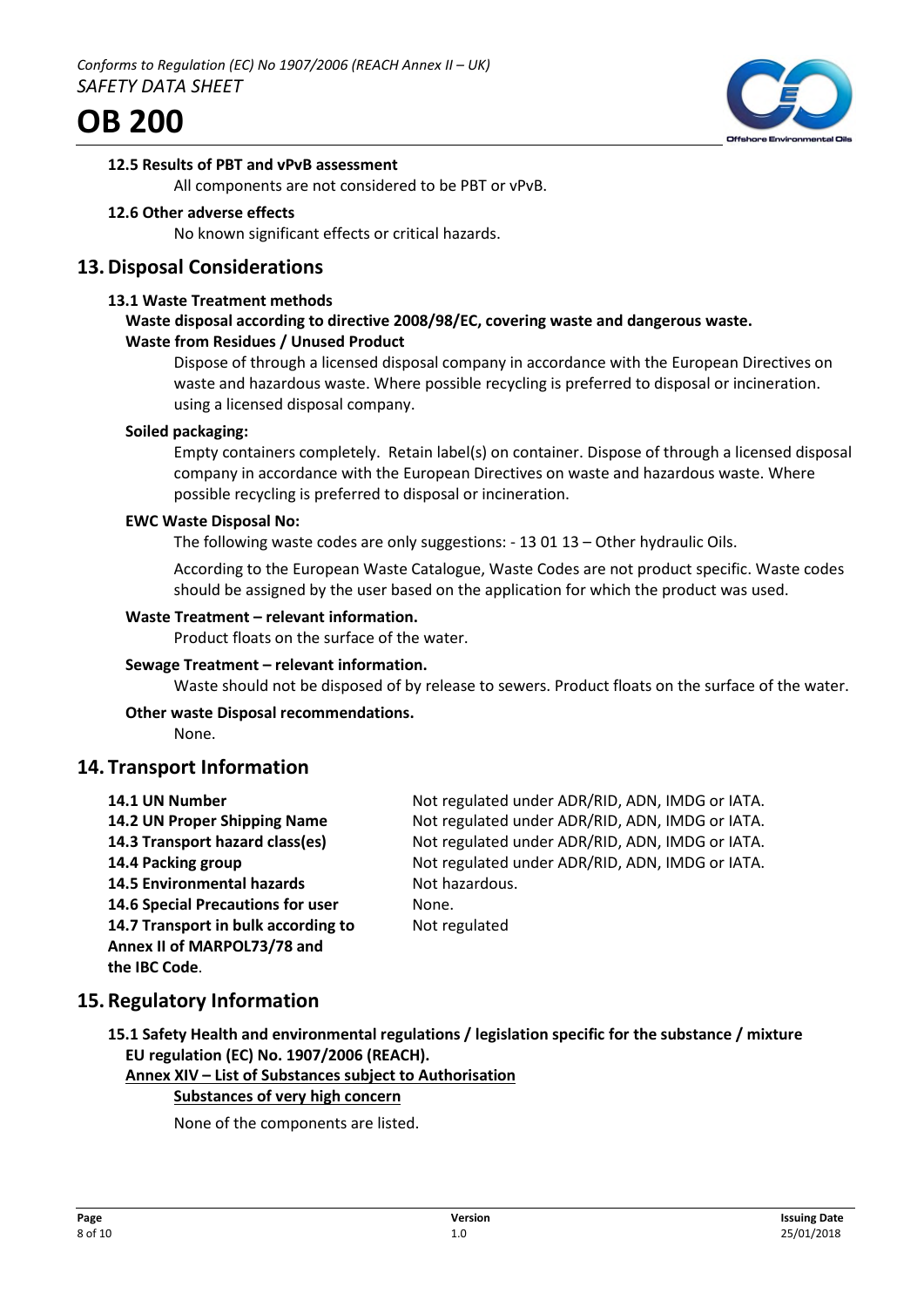



#### **12.5 Results of PBT and vPvB assessment**

All components are not considered to be PBT or vPvB.

#### **12.6 Other adverse effects**

No known significant effects or critical hazards.

# **13.Disposal Considerations**

#### **13.1 Waste Treatment methods**

#### **Waste disposal according to directive 2008/98/EC, covering waste and dangerous waste. Waste from Residues / Unused Product**

Dispose of through a licensed disposal company in accordance with the European Directives on waste and hazardous waste. Where possible recycling is preferred to disposal or incineration. using a licensed disposal company.

#### **Soiled packaging:**

Empty containers completely. Retain label(s) on container. Dispose of through a licensed disposal company in accordance with the European Directives on waste and hazardous waste. Where possible recycling is preferred to disposal or incineration.

#### **EWC Waste Disposal No:**

The following waste codes are only suggestions: - 13 01 13 – Other hydraulic Oils.

According to the European Waste Catalogue, Waste Codes are not product specific. Waste codes should be assigned by the user based on the application for which the product was used.

#### **Waste Treatment – relevant information.**

Product floats on the surface of the water.

#### **Sewage Treatment – relevant information.**

Waste should not be disposed of by release to sewers. Product floats on the surface of the water.

#### **Other waste Disposal recommendations.**

None.

# **14. Transport Information**

| 14.1 UN Number                      | Not regulated under ADR/RID, ADN, IMDG or IATA. |
|-------------------------------------|-------------------------------------------------|
| 14.2 UN Proper Shipping Name        | Not regulated under ADR/RID, ADN, IMDG or IATA. |
| 14.3 Transport hazard class(es)     | Not regulated under ADR/RID, ADN, IMDG or IATA. |
| 14.4 Packing group                  | Not regulated under ADR/RID, ADN, IMDG or IATA. |
| <b>14.5 Environmental hazards</b>   | Not hazardous.                                  |
| 14.6 Special Precautions for user   | None.                                           |
| 14.7 Transport in bulk according to | Not regulated                                   |
| Annex II of MARPOL73/78 and         |                                                 |
| the IBC Code.                       |                                                 |

# **15.Regulatory Information**

**15.1 Safety Health and environmental regulations / legislation specific for the substance / mixture EU regulation (EC) No. 1907/2006 (REACH).**

**Annex XIV – List of Substances subject to Authorisation**

# **Substances of very high concern**

None of the components are listed.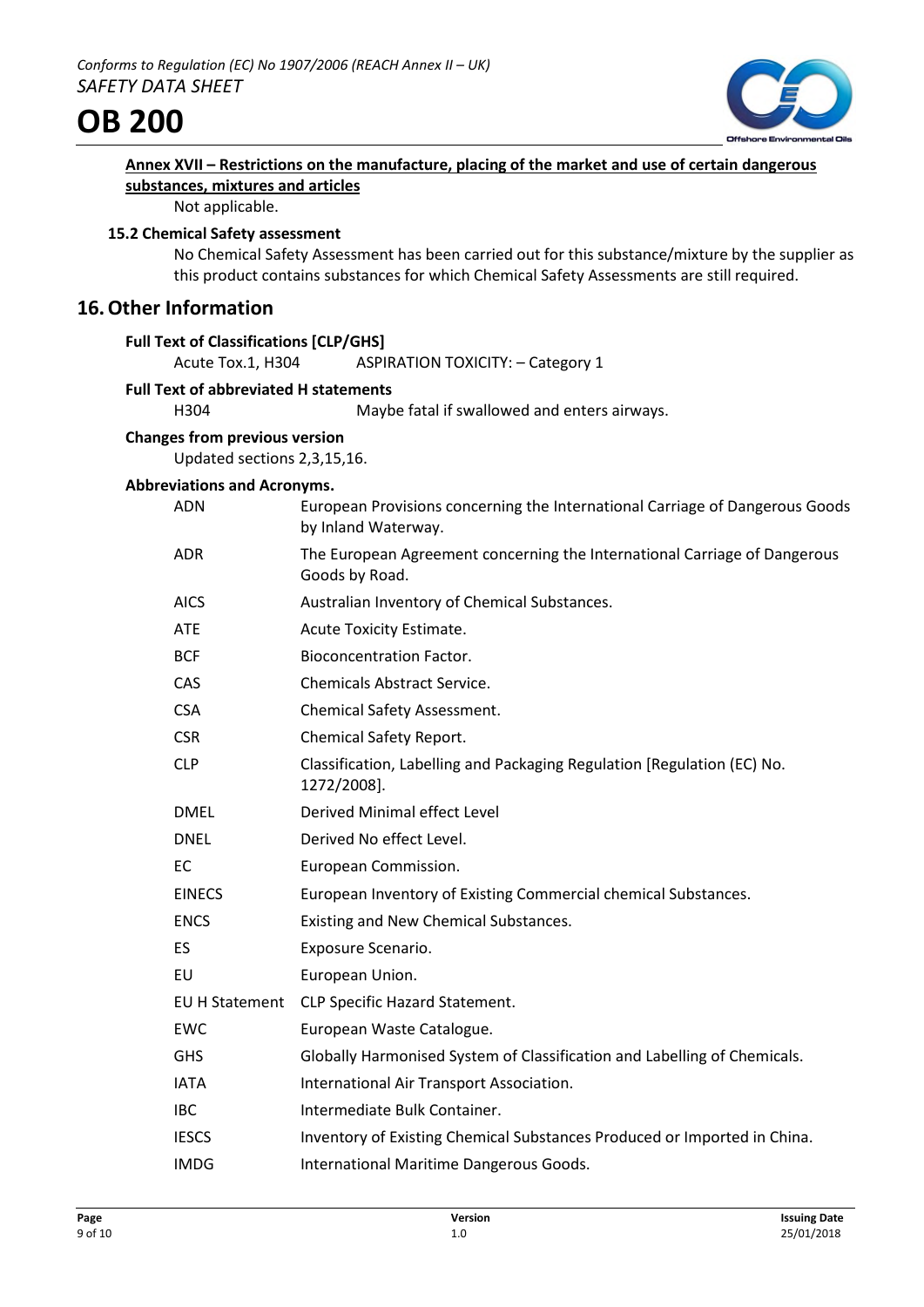

| Annex XVII – Restrictions on the manufacture, placing of the market and use of certain dangerous |  |  |
|--------------------------------------------------------------------------------------------------|--|--|
| substances, mixtures and articles                                                                |  |  |

Not applicable.

# **15.2 Chemical Safety assessment**

No Chemical Safety Assessment has been carried out for this substance/mixture by the supplier as this product contains substances for which Chemical Safety Assessments are still required.

# **16.Other Information**

| Acute Tox.1, H304 | <b>ASPIRATION TOXICITY: - Category 1</b>                                                                                                                                                                                 |
|-------------------|--------------------------------------------------------------------------------------------------------------------------------------------------------------------------------------------------------------------------|
|                   |                                                                                                                                                                                                                          |
| H304              | Maybe fatal if swallowed and enters airways.                                                                                                                                                                             |
|                   |                                                                                                                                                                                                                          |
|                   |                                                                                                                                                                                                                          |
|                   |                                                                                                                                                                                                                          |
|                   | European Provisions concerning the International Carriage of Dangerous Goods<br>by Inland Waterway.                                                                                                                      |
| <b>ADR</b>        | The European Agreement concerning the International Carriage of Dangerous<br>Goods by Road.                                                                                                                              |
| <b>AICS</b>       | Australian Inventory of Chemical Substances.                                                                                                                                                                             |
| <b>ATE</b>        | Acute Toxicity Estimate.                                                                                                                                                                                                 |
| <b>BCF</b>        | <b>Bioconcentration Factor.</b>                                                                                                                                                                                          |
| CAS               | <b>Chemicals Abstract Service.</b>                                                                                                                                                                                       |
| <b>CSA</b>        | Chemical Safety Assessment.                                                                                                                                                                                              |
| <b>CSR</b>        | Chemical Safety Report.                                                                                                                                                                                                  |
| <b>CLP</b>        | Classification, Labelling and Packaging Regulation [Regulation (EC) No.<br>1272/2008].                                                                                                                                   |
| <b>DMEL</b>       | Derived Minimal effect Level                                                                                                                                                                                             |
| <b>DNEL</b>       | Derived No effect Level.                                                                                                                                                                                                 |
| EC                | European Commission.                                                                                                                                                                                                     |
| <b>EINECS</b>     | European Inventory of Existing Commercial chemical Substances.                                                                                                                                                           |
| <b>ENCS</b>       | Existing and New Chemical Substances.                                                                                                                                                                                    |
| ES                | Exposure Scenario.                                                                                                                                                                                                       |
| EU                | European Union.                                                                                                                                                                                                          |
| EU H Statement    | CLP Specific Hazard Statement.                                                                                                                                                                                           |
| EWC               | European Waste Catalogue.                                                                                                                                                                                                |
| <b>GHS</b>        | Globally Harmonised System of Classification and Labelling of Chemicals.                                                                                                                                                 |
| <b>IATA</b>       | International Air Transport Association.                                                                                                                                                                                 |
| <b>IBC</b>        | Intermediate Bulk Container.                                                                                                                                                                                             |
| <b>IESCS</b>      | Inventory of Existing Chemical Substances Produced or Imported in China.                                                                                                                                                 |
| <b>IMDG</b>       | International Maritime Dangerous Goods.                                                                                                                                                                                  |
|                   | <b>Full Text of Classifications [CLP/GHS]</b><br><b>Full Text of abbreviated H statements</b><br><b>Changes from previous version</b><br>Updated sections 2,3,15,16.<br><b>Abbreviations and Acronyms.</b><br><b>ADN</b> |